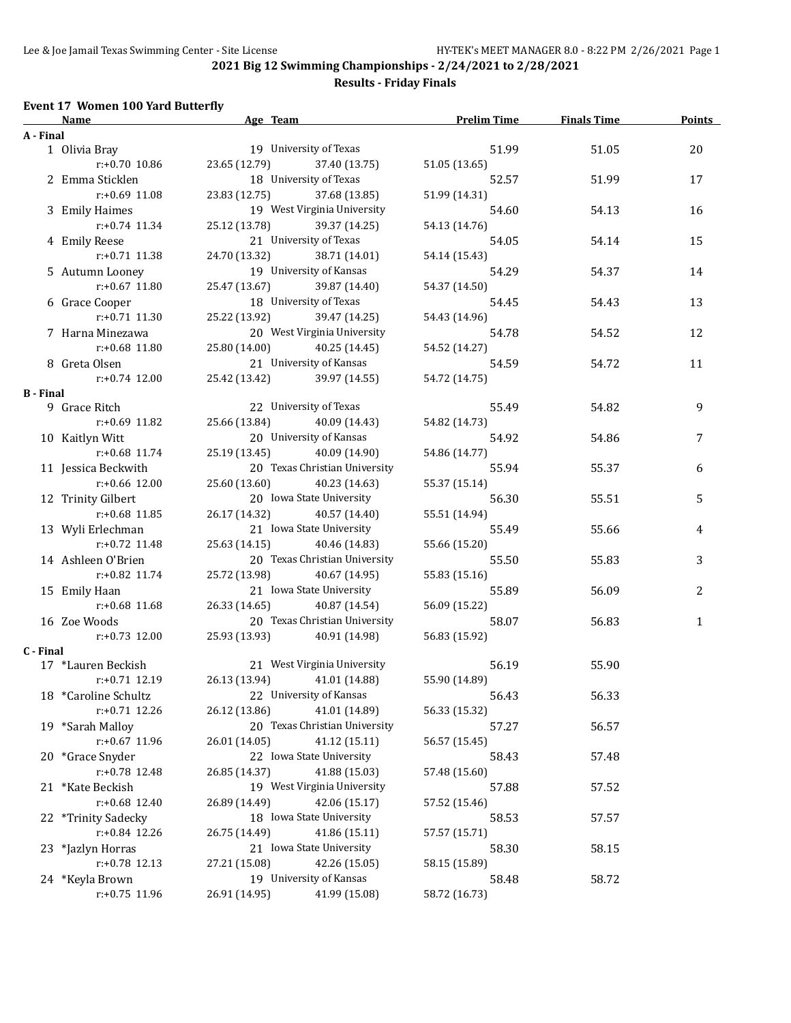**Results - Friday Finals**

## **Event 17 Women 100 Yard Butterfly**

|                  | Name                 | Age Team                       | <b>Prelim Time</b> | <b>Finals Time</b> | <b>Points</b> |
|------------------|----------------------|--------------------------------|--------------------|--------------------|---------------|
| A - Final        |                      |                                |                    |                    |               |
|                  | 1 Olivia Bray        | 19 University of Texas         | 51.99              | 51.05              | 20            |
|                  | $r: +0.70$ 10.86     | 23.65 (12.79) 37.40 (13.75)    | 51.05 (13.65)      |                    |               |
|                  | 2 Emma Sticklen      | 18 University of Texas         | 52.57              | 51.99              | 17            |
|                  | $r: +0.69$ 11.08     | 23.83 (12.75) 37.68 (13.85)    | 51.99 (14.31)      |                    |               |
|                  | 3 Emily Haimes       | 19 West Virginia University    | 54.60              | 54.13              | 16            |
|                  | $r: +0.74$ 11.34     | 25.12 (13.78) 39.37 (14.25)    | 54.13 (14.76)      |                    |               |
|                  | 4 Emily Reese        | 21 University of Texas         | 54.05              | 54.14              | 15            |
|                  | $r: +0.71$ 11.38     | 24.70 (13.32) 38.71 (14.01)    |                    |                    |               |
|                  |                      | 19 University of Kansas        | 54.14 (15.43)      |                    |               |
|                  | 5 Autumn Looney      |                                | 54.29              | 54.37              | 14            |
|                  | $r: +0.67$ 11.80     | 25.47 (13.67) 39.87 (14.40)    | 54.37 (14.50)      |                    |               |
|                  | 6 Grace Cooper       | 18 University of Texas         | 54.45              | 54.43              | 13            |
|                  | r:+0.71 11.30        | 25.22 (13.92) 39.47 (14.25)    | 54.43 (14.96)      |                    |               |
|                  | 7 Harna Minezawa     | 20 West Virginia University    | 54.78              | 54.52              | 12            |
|                  | $r: +0.68$ 11.80     | 25.80 (14.00) 40.25 (14.45)    | 54.52 (14.27)      |                    |               |
|                  | 8 Greta Olsen        | 21 University of Kansas        | 54.59              | 54.72              | 11            |
|                  | $r: +0.74$ 12.00     | 25.42 (13.42) 39.97 (14.55)    | 54.72 (14.75)      |                    |               |
| <b>B</b> - Final |                      |                                |                    |                    |               |
|                  | 9 Grace Ritch        | 22 University of Texas         | 55.49              | 54.82              | 9             |
|                  | $r: +0.69$ 11.82     | 25.66 (13.84) 40.09 (14.43)    | 54.82 (14.73)      |                    |               |
|                  | 10 Kaitlyn Witt      | 20 University of Kansas        | 54.92              | 54.86              | 7             |
|                  | r:+0.68 11.74        | 25.19 (13.45) 40.09 (14.90)    | 54.86 (14.77)      |                    |               |
|                  | 11 Jessica Beckwith  | 20 Texas Christian University  | 55.94              | 55.37              | 6             |
|                  | r:+0.66 12.00        | 25.60 (13.60) 40.23 (14.63)    | 55.37 (15.14)      |                    |               |
|                  | 12 Trinity Gilbert   | 20 Iowa State University       | 56.30              | 55.51              | 5             |
|                  | $r: +0.68$ 11.85     | 26.17 (14.32) 40.57 (14.40)    | 55.51 (14.94)      |                    |               |
|                  | 13 Wyli Erlechman    | 21 Iowa State University       | 55.49              | 55.66              | 4             |
|                  | $r: +0.72$ 11.48     | 25.63 (14.15)<br>40.46 (14.83) | 55.66 (15.20)      |                    |               |
|                  | 14 Ashleen O'Brien   | 20 Texas Christian University  | 55.50              | 55.83              | 3             |
|                  | r:+0.82 11.74        | 25.72 (13.98)<br>40.67 (14.95) |                    |                    |               |
|                  |                      | 21 Iowa State University       | 55.83 (15.16)      |                    |               |
|                  | 15 Emily Haan        |                                | 55.89              | 56.09              | 2             |
|                  | $r: +0.68$ 11.68     | 26.33 (14.65)<br>40.87 (14.54) | 56.09 (15.22)      |                    |               |
|                  | 16 Zoe Woods         | 20 Texas Christian University  | 58.07              | 56.83              | $\mathbf{1}$  |
|                  | $r: +0.73$ 12.00     | 25.93 (13.93) 40.91 (14.98)    | 56.83 (15.92)      |                    |               |
| C - Final        |                      |                                |                    |                    |               |
|                  | 17 *Lauren Beckish   | 21 West Virginia University    | 56.19              | 55.90              |               |
|                  | $r: +0.71$ 12.19     | 26.13 (13.94) 41.01 (14.88)    | 55.90 (14.89)      |                    |               |
|                  | 18 *Caroline Schultz | 22 University of Kansas        | 56.43              | 56.33              |               |
|                  | r:+0.71 12.26        | 26.12 (13.86)<br>41.01 (14.89) | 56.33 (15.32)      |                    |               |
|                  | 19 *Sarah Malloy     | 20 Texas Christian University  | 57.27              | 56.57              |               |
|                  | r:+0.67 11.96        | 26.01 (14.05)<br>41.12 (15.11) | 56.57 (15.45)      |                    |               |
|                  | 20 *Grace Snyder     | 22 Iowa State University       | 58.43              | 57.48              |               |
|                  | r:+0.78 12.48        | 26.85 (14.37)<br>41.88 (15.03) | 57.48 (15.60)      |                    |               |
|                  | 21 *Kate Beckish     | 19 West Virginia University    | 57.88              | 57.52              |               |
|                  | $r: +0.68$ 12.40     | 42.06 (15.17)<br>26.89 (14.49) | 57.52 (15.46)      |                    |               |
|                  | 22 *Trinity Sadecky  | 18 Iowa State University       | 58.53              | 57.57              |               |
|                  | r:+0.84 12.26        | 26.75 (14.49)<br>41.86 (15.11) | 57.57 (15.71)      |                    |               |
|                  | 23 *Jazlyn Horras    | 21 Iowa State University       | 58.30              | 58.15              |               |
|                  | r:+0.78 12.13        | 42.26 (15.05)<br>27.21 (15.08) | 58.15 (15.89)      |                    |               |
|                  | 24 *Keyla Brown      | 19 University of Kansas        | 58.48              | 58.72              |               |
|                  | r:+0.75 11.96        | 26.91 (14.95)<br>41.99 (15.08) | 58.72 (16.73)      |                    |               |
|                  |                      |                                |                    |                    |               |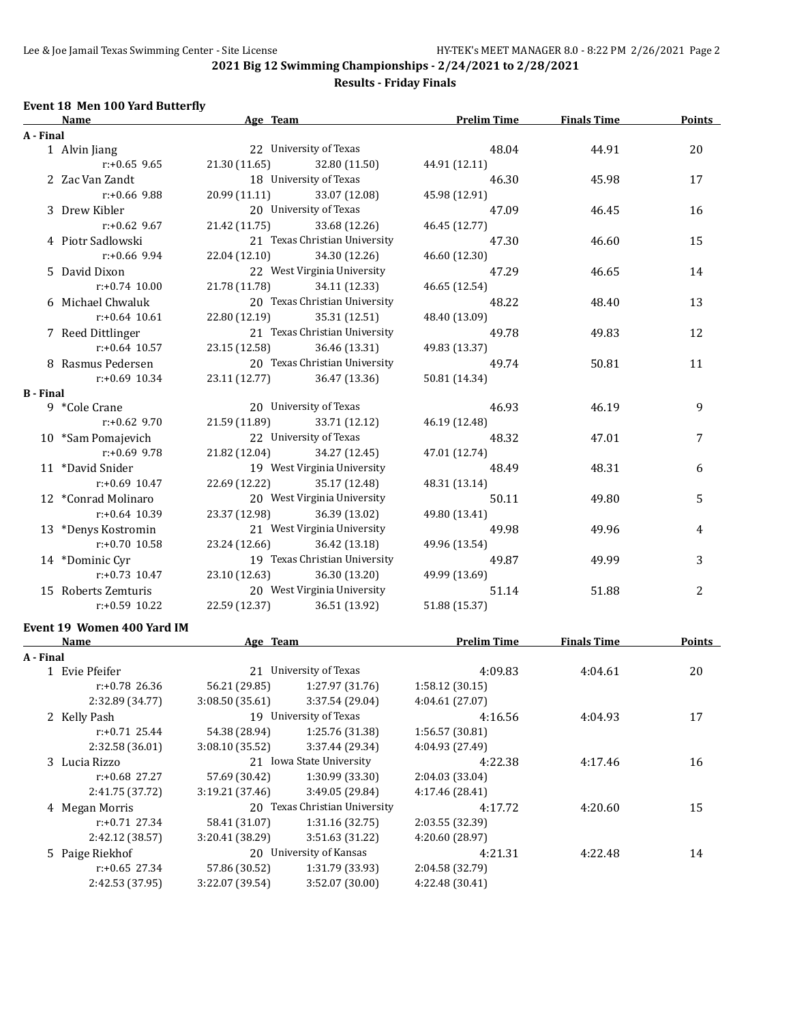## **Results - Friday Finals**

### **Event 18 Men 100 Yard Butterfly**

|                  | Name                               | Age Team                         |                                    | <b>Prelim Time</b>         | <b>Finals Time</b> | <b>Points</b> |
|------------------|------------------------------------|----------------------------------|------------------------------------|----------------------------|--------------------|---------------|
| A - Final        |                                    |                                  |                                    |                            |                    |               |
|                  | 1 Alvin Jiang                      |                                  | 22 University of Texas             | 48.04                      | 44.91              | 20            |
|                  | $r: +0.65$ 9.65                    | 21.30 (11.65)                    | 32.80 (11.50)                      | 44.91 (12.11)              |                    |               |
|                  | 2 Zac Van Zandt                    |                                  | 18 University of Texas             | 46.30                      | 45.98              | 17            |
|                  | $r: +0.66$ 9.88                    | 20.99 (11.11)                    | 33.07 (12.08)                      | 45.98 (12.91)              |                    |               |
|                  | 3 Drew Kibler                      |                                  | 20 University of Texas             | 47.09                      | 46.45              | 16            |
|                  | $r: +0.62$ 9.67                    | 21.42 (11.75)                    | 33.68 (12.26)                      | 46.45 (12.77)              |                    |               |
|                  | 4 Piotr Sadlowski                  |                                  | 21 Texas Christian University      | 47.30                      | 46.60              | 15            |
|                  | $r: +0.66$ 9.94                    | 22.04 (12.10)                    | 34.30 (12.26)                      | 46.60 (12.30)              |                    |               |
|                  | 5 David Dixon                      |                                  | 22 West Virginia University        | 47.29                      | 46.65              | 14            |
|                  | $r: +0.74$ 10.00                   | 21.78 (11.78)                    | 34.11 (12.33)                      | 46.65 (12.54)              |                    |               |
|                  | 6 Michael Chwaluk                  |                                  | 20 Texas Christian University      | 48.22                      | 48.40              | 13            |
|                  | $r: +0.64$ 10.61                   | 22.80 (12.19)                    | 35.31 (12.51)                      | 48.40 (13.09)              |                    |               |
|                  | 7 Reed Dittlinger                  |                                  | 21 Texas Christian University      | 49.78                      | 49.83              | 12            |
|                  | $r: +0.64$ 10.57                   | 23.15 (12.58)                    | 36.46 (13.31)                      | 49.83 (13.37)              |                    |               |
|                  | 8 Rasmus Pedersen                  |                                  | 20 Texas Christian University      | 49.74                      | 50.81              | 11            |
|                  | $r: +0.69$ 10.34                   | 23.11 (12.77)                    | 36.47 (13.36)                      | 50.81 (14.34)              |                    |               |
| <b>B</b> - Final |                                    |                                  |                                    |                            |                    |               |
|                  | 9 *Cole Crane                      |                                  | 20 University of Texas             | 46.93                      | 46.19              | 9             |
|                  | r:+0.62 9.70                       | 21.59 (11.89)                    | 33.71 (12.12)                      | 46.19 (12.48)              |                    |               |
|                  | 10 *Sam Pomajevich                 |                                  | 22 University of Texas             | 48.32                      | 47.01              | 7             |
|                  | $r: +0.69$ 9.78                    | 21.82 (12.04)                    | 34.27 (12.45)                      | 47.01 (12.74)              |                    |               |
|                  | 11 *David Snider                   |                                  | 19 West Virginia University        | 48.49                      | 48.31              | 6             |
|                  | $r+0.69$ 10.47                     | 22.69 (12.22)                    | 35.17 (12.48)                      | 48.31 (13.14)              |                    |               |
|                  | 12 *Conrad Molinaro                |                                  | 20 West Virginia University        | 50.11                      | 49.80              | 5             |
|                  | $r: +0.64$ 10.39                   | 23.37 (12.98)                    | 36.39 (13.02)                      | 49.80 (13.41)              |                    |               |
|                  | 13 *Denys Kostromin                |                                  | 21 West Virginia University        | 49.98                      | 49.96              | 4             |
|                  | $r: +0.70$ 10.58                   | 23.24 (12.66)                    | 36.42 (13.18)                      | 49.96 (13.54)              |                    |               |
|                  | 14 *Dominic Cyr                    |                                  | 19 Texas Christian University      | 49.87                      | 49.99              | 3             |
|                  | $r: +0.73$ 10.47                   | 23.10 (12.63)                    | 36.30 (13.20)                      | 49.99 (13.69)              |                    |               |
|                  | 15 Roberts Zemturis                |                                  | 20 West Virginia University        | 51.14                      | 51.88              | 2             |
|                  | $r: +0.59$ 10.22                   | 22.59 (12.37)                    | 36.51 (13.92)                      | 51.88 (15.37)              |                    |               |
|                  |                                    |                                  |                                    |                            |                    |               |
|                  | Event 19 Women 400 Yard IM         |                                  |                                    |                            |                    |               |
|                  | Name                               |                                  |                                    |                            | <b>Finals Time</b> | Points        |
| A - Final        | 1 Evie Pfeifer                     |                                  | 21 University of Texas             | 4:09.83                    | 4:04.61            | 20            |
|                  | $r: +0.78$ 26.36                   | 56.21 (29.85)                    | 1:27.97 (31.76)                    | 1:58.12(30.15)             |                    |               |
|                  | 2:32.89 (34.77)                    | 3:08.50 (35.61)                  | 3:37.54 (29.04)                    | 4:04.61 (27.07)            |                    |               |
|                  | 2 Kelly Pash                       |                                  | 19 University of Texas             |                            | 4:04.93            |               |
|                  | $r: +0.71$ 25.44                   | 54.38 (28.94)                    | 1:25.76 (31.38)                    | 4:16.56<br>1:56.57 (30.81) |                    | 17            |
|                  | 2:32.58 (36.01)                    | 3:08.10 (35.52)                  | 3:37.44 (29.34)                    | 4:04.93 (27.49)            |                    |               |
|                  |                                    |                                  | 21 Iowa State University           |                            |                    |               |
|                  | 3 Lucia Rizzo<br>r:+0.68 27.27     |                                  |                                    | 4:22.38                    | 4:17.46            | 16            |
|                  |                                    | 57.69 (30.42)                    | 1:30.99 (33.30)<br>3:49.05 (29.84) | 2:04.03 (33.04)            |                    |               |
|                  | 2:41.75 (37.72)                    | 3:19.21 (37.46)                  |                                    | 4:17.46 (28.41)            |                    |               |
|                  | 4 Megan Morris<br>$r: +0.71$ 27.34 |                                  | 20 Texas Christian University      | 4:17.72                    | 4:20.60            | 15            |
|                  |                                    | 58.41 (31.07)                    | 1:31.16 (32.75)<br>3:51.63 (31.22) | 2:03.55 (32.39)            |                    |               |
|                  | 2:42.12 (38.57)                    | 3:20.41 (38.29)                  | 20 University of Kansas            | 4:20.60 (28.97)<br>4:21.31 |                    | 14            |
|                  | 5 Paige Riekhof<br>r:+0.65 27.34   |                                  | 1:31.79 (33.93)                    | 2:04.58 (32.79)            | 4:22.48            |               |
|                  |                                    | 57.86 (30.52)<br>3:22.07 (39.54) |                                    |                            |                    |               |
|                  | 2:42.53 (37.95)                    |                                  | 3:52.07 (30.00)                    | 4:22.48 (30.41)            |                    |               |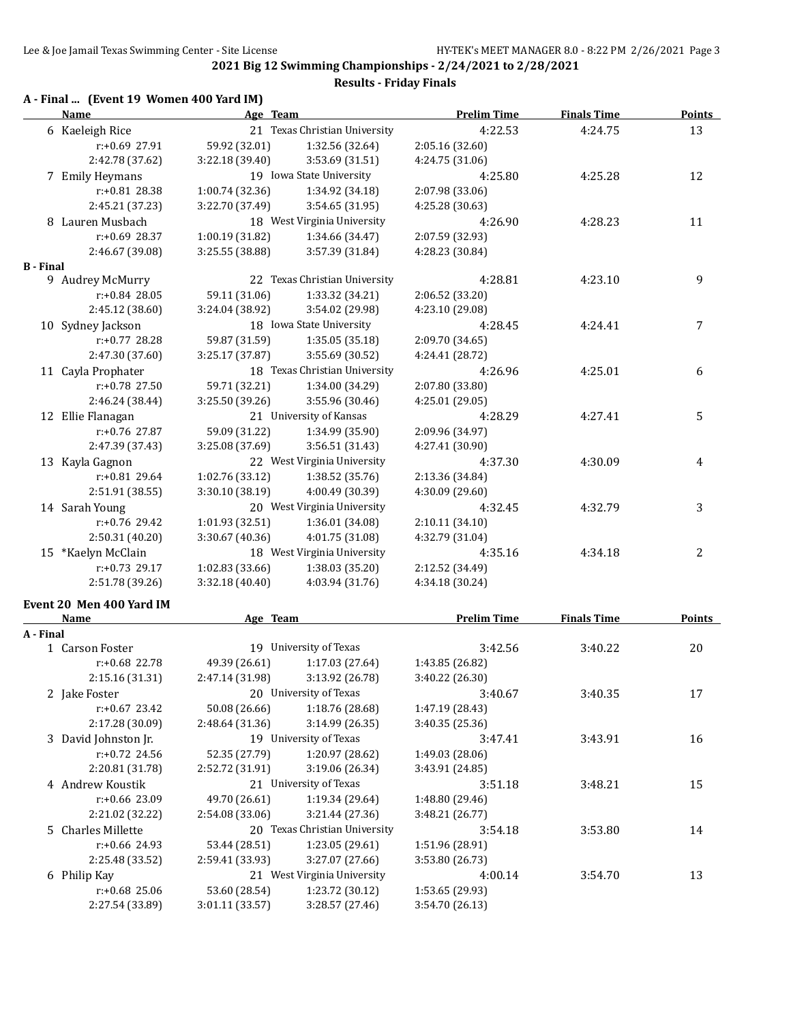**2021 Big 12 Swimming Championships - 2/24/2021 to 2/28/2021 Results - Friday Finals**

## **A - Final ... (Event 19 Women 400 Yard IM)**

|                  | <b>Name</b>              | Age Team        |                               | <b>Prelim Time</b> | <b>Finals Time</b> | <b>Points</b> |
|------------------|--------------------------|-----------------|-------------------------------|--------------------|--------------------|---------------|
|                  | 6 Kaeleigh Rice          |                 | 21 Texas Christian University | 4:22.53            | 4:24.75            | 13            |
|                  | r:+0.69 27.91            | 59.92 (32.01)   | 1:32.56 (32.64)               | 2:05.16 (32.60)    |                    |               |
|                  | 2:42.78 (37.62)          | 3:22.18 (39.40) | 3:53.69 (31.51)               | 4:24.75 (31.06)    |                    |               |
|                  | 7 Emily Heymans          |                 | 19 Iowa State University      | 4:25.80            | 4:25.28            | 12            |
|                  | r:+0.81 28.38            | 1:00.74 (32.36) | 1:34.92 (34.18)               | 2:07.98 (33.06)    |                    |               |
|                  | 2:45.21 (37.23)          | 3:22.70 (37.49) | 3:54.65 (31.95)               | 4:25.28 (30.63)    |                    |               |
|                  | 8 Lauren Musbach         |                 | 18 West Virginia University   | 4:26.90            | 4:28.23            | 11            |
|                  | $r: +0.69$ 28.37         | 1:00.19 (31.82) | 1:34.66 (34.47)               | 2:07.59 (32.93)    |                    |               |
|                  | 2:46.67 (39.08)          | 3:25.55 (38.88) | 3:57.39 (31.84)               | 4:28.23 (30.84)    |                    |               |
| <b>B</b> - Final |                          |                 |                               |                    |                    |               |
|                  | 9 Audrey McMurry         |                 | 22 Texas Christian University | 4:28.81            | 4:23.10            | 9             |
|                  | $r: +0.84$ 28.05         | 59.11 (31.06)   | 1:33.32 (34.21)               | 2:06.52 (33.20)    |                    |               |
|                  | 2:45.12 (38.60)          | 3:24.04 (38.92) | 3:54.02 (29.98)               | 4:23.10 (29.08)    |                    |               |
|                  | 10 Sydney Jackson        |                 | 18 Iowa State University      | 4:28.45            | 4:24.41            | 7             |
|                  | r:+0.77 28.28            | 59.87 (31.59)   | 1:35.05 (35.18)               | 2:09.70 (34.65)    |                    |               |
|                  | 2:47.30 (37.60)          | 3:25.17 (37.87) | 3:55.69 (30.52)               | 4:24.41 (28.72)    |                    |               |
|                  | 11 Cayla Prophater       |                 | 18 Texas Christian University | 4:26.96            | 4:25.01            | 6             |
|                  | $r: +0.78$ 27.50         | 59.71 (32.21)   | 1:34.00 (34.29)               | 2:07.80 (33.80)    |                    |               |
|                  | 2:46.24 (38.44)          | 3:25.50 (39.26) | 3:55.96 (30.46)               | 4:25.01 (29.05)    |                    |               |
|                  | 12 Ellie Flanagan        |                 | 21 University of Kansas       | 4:28.29            | 4:27.41            | 5             |
|                  | r:+0.76 27.87            | 59.09 (31.22)   | 1:34.99 (35.90)               | 2:09.96 (34.97)    |                    |               |
|                  | 2:47.39 (37.43)          | 3:25.08 (37.69) | 3:56.51(31.43)                | 4:27.41 (30.90)    |                    |               |
|                  | 13 Kayla Gagnon          |                 | 22 West Virginia University   | 4:37.30            | 4:30.09            | 4             |
|                  | r:+0.81 29.64            | 1:02.76 (33.12) | 1:38.52 (35.76)               | 2:13.36 (34.84)    |                    |               |
|                  | 2:51.91 (38.55)          | 3:30.10 (38.19) | 4:00.49 (30.39)               | 4:30.09 (29.60)    |                    |               |
|                  | 14 Sarah Young           |                 | 20 West Virginia University   | 4:32.45            | 4:32.79            | 3             |
|                  | r:+0.76 29.42            | 1:01.93 (32.51) | 1:36.01 (34.08)               | 2:10.11 (34.10)    |                    |               |
|                  | 2:50.31 (40.20)          | 3:30.67 (40.36) | 4:01.75 (31.08)               | 4:32.79 (31.04)    |                    |               |
|                  | 15 *Kaelyn McClain       |                 | 18 West Virginia University   | 4:35.16            | 4:34.18            | 2             |
|                  | r:+0.73 29.17            | 1:02.83 (33.66) | 1:38.03 (35.20)               | 2:12.52 (34.49)    |                    |               |
|                  | 2:51.78 (39.26)          | 3:32.18 (40.40) | 4:03.94 (31.76)               | 4:34.18 (30.24)    |                    |               |
|                  |                          |                 |                               |                    |                    |               |
|                  | Event 20 Men 400 Yard IM |                 |                               |                    |                    |               |
|                  | <b>Name</b>              | Age Team        |                               | <b>Prelim Time</b> | <b>Finals Time</b> | <b>Points</b> |
| A - Final        |                          |                 |                               |                    |                    |               |
|                  | 1 Carson Foster          |                 | 19 University of Texas        | 3:42.56            | 3:40.22            | 20            |
|                  | r:+0.68 22.78            | 49.39 (26.61)   | 1:17.03 (27.64)               | 1:43.85 (26.82)    |                    |               |
|                  | 2:15.16 (31.31)          | 2:47.14 (31.98) | 3:13.92 (26.78)               | 3:40.22 (26.30)    |                    |               |
|                  | 2 Jake Foster            |                 | 20 University of Texas        | 3:40.67            | 3:40.35            | 17            |
|                  | $r: +0.67$ 23.42         | 50.08 (26.66)   | 1:18.76 (28.68)               | 1:47.19 (28.43)    |                    |               |
|                  | 2:17.28 (30.09)          | 2:48.64 (31.36) | 3:14.99 (26.35)               | 3:40.35 (25.36)    |                    |               |
|                  | 3 David Johnston Jr.     |                 | 19 University of Texas        | 3:47.41            | 3:43.91            | 16            |
|                  | r:+0.72 24.56            | 52.35 (27.79)   | 1:20.97 (28.62)               | 1:49.03 (28.06)    |                    |               |
|                  | 2:20.81 (31.78)          | 2:52.72 (31.91) | 3:19.06 (26.34)               | 3:43.91 (24.85)    |                    |               |
|                  | 4 Andrew Koustik         |                 | 21 University of Texas        | 3:51.18            | 3:48.21            | 15            |
|                  | r:+0.66 23.09            | 49.70 (26.61)   | 1:19.34 (29.64)               | 1:48.80 (29.46)    |                    |               |
|                  | 2:21.02 (32.22)          | 2:54.08 (33.06) | 3:21.44 (27.36)               | 3:48.21 (26.77)    |                    |               |
|                  | 5 Charles Millette       |                 | 20 Texas Christian University | 3:54.18            | 3:53.80            | 14            |
|                  | r:+0.66 24.93            | 53.44 (28.51)   | 1:23.05 (29.61)               | 1:51.96 (28.91)    |                    |               |
|                  | 2:25.48 (33.52)          | 2:59.41 (33.93) | 3:27.07 (27.66)               | 3:53.80 (26.73)    |                    |               |
|                  | 6 Philip Kay             |                 | 21 West Virginia University   | 4:00.14            | 3:54.70            | 13            |
|                  | r:+0.68 25.06            | 53.60 (28.54)   | 1:23.72 (30.12)               | 1:53.65 (29.93)    |                    |               |
|                  | 2:27.54 (33.89)          | 3:01.11 (33.57) | 3:28.57 (27.46)               | 3:54.70 (26.13)    |                    |               |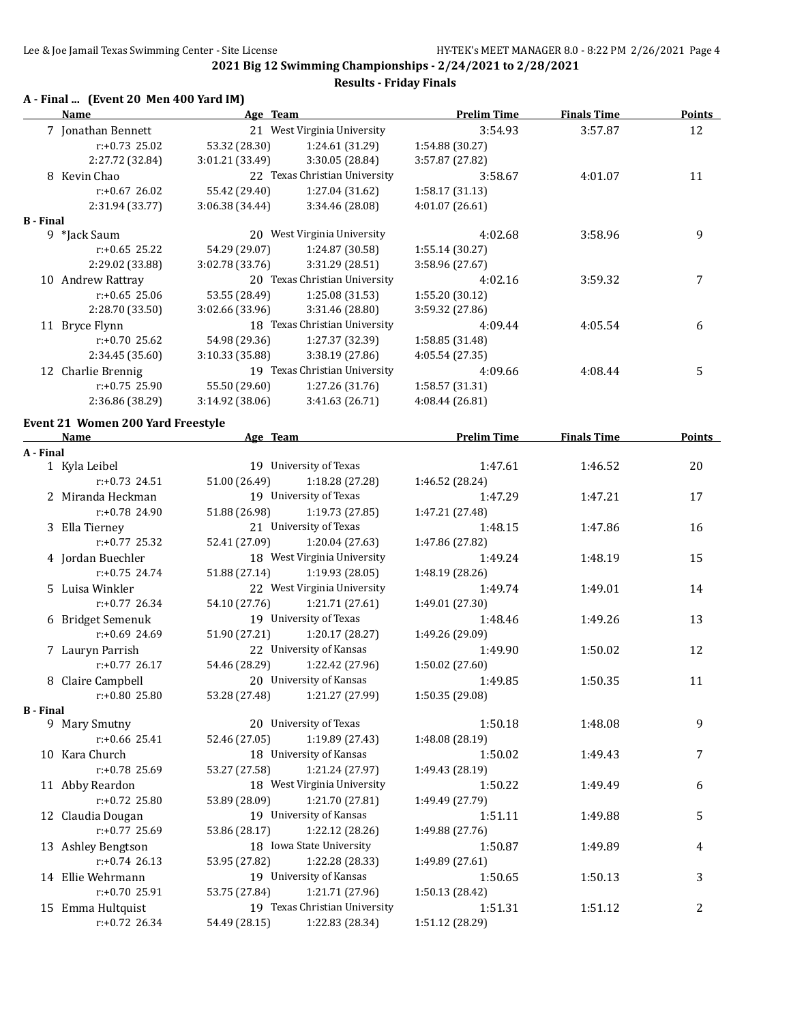**2021 Big 12 Swimming Championships - 2/24/2021 to 2/28/2021 Results - Friday Finals**

### **A - Final ... (Event 20 Men 400 Yard IM)**

|                  | Thiat (EVENTED MEN TOO Tard Im J<br><u>Name</u>  | Age Team        |                               | <b>Prelim Time</b> | <b>Finals Time</b> | <b>Points</b> |
|------------------|--------------------------------------------------|-----------------|-------------------------------|--------------------|--------------------|---------------|
|                  | 7 Jonathan Bennett                               |                 | 21 West Virginia University   | 3:54.93            | 3:57.87            | 12            |
|                  | $r: +0.73$ 25.02                                 | 53.32 (28.30)   | 1:24.61 (31.29)               | 1:54.88 (30.27)    |                    |               |
|                  | 2:27.72 (32.84)                                  | 3:01.21 (33.49) | 3:30.05 (28.84)               | 3:57.87 (27.82)    |                    |               |
|                  | 8 Kevin Chao                                     |                 | 22 Texas Christian University | 3:58.67            | 4:01.07            | 11            |
|                  | $r: +0.67$ 26.02                                 | 55.42 (29.40)   | 1:27.04 (31.62)               | 1:58.17 (31.13)    |                    |               |
|                  | 2:31.94 (33.77)                                  | 3:06.38 (34.44) | 3:34.46 (28.08)               | 4:01.07 (26.61)    |                    |               |
| <b>B</b> - Final |                                                  |                 |                               |                    |                    |               |
|                  | 9 *Jack Saum                                     |                 | 20 West Virginia University   | 4:02.68            | 3:58.96            | 9             |
|                  | $r: +0.65$ 25.22                                 | 54.29 (29.07)   | 1:24.87 (30.58)               | 1:55.14(30.27)     |                    |               |
|                  | 2:29.02 (33.88)                                  | 3:02.78 (33.76) | 3:31.29 (28.51)               | 3:58.96 (27.67)    |                    |               |
|                  | 10 Andrew Rattray                                |                 | 20 Texas Christian University | 4:02.16            | 3:59.32            | 7             |
|                  | $r: +0.65$ 25.06                                 | 53.55 (28.49)   | 1:25.08 (31.53)               | 1:55.20 (30.12)    |                    |               |
|                  | 2:28.70 (33.50)                                  | 3:02.66 (33.96) | 3:31.46 (28.80)               | 3:59.32 (27.86)    |                    |               |
|                  | 11 Bryce Flynn                                   |                 | 18 Texas Christian University | 4:09.44            | 4:05.54            | 6             |
|                  | r:+0.70 25.62                                    | 54.98 (29.36)   | 1:27.37 (32.39)               | 1:58.85 (31.48)    |                    |               |
|                  | 2:34.45 (35.60)                                  | 3:10.33 (35.88) | 3:38.19 (27.86)               | 4:05.54 (27.35)    |                    |               |
|                  | 12 Charlie Brennig                               |                 | 19 Texas Christian University | 4:09.66            | 4:08.44            | 5             |
|                  | $r: +0.75$ 25.90                                 | 55.50 (29.60)   | 1:27.26 (31.76)               | 1:58.57 (31.31)    |                    |               |
|                  | 2:36.86 (38.29)                                  | 3:14.92 (38.06) | 3:41.63 (26.71)               | 4:08.44 (26.81)    |                    |               |
|                  |                                                  |                 |                               |                    |                    |               |
|                  | <b>Event 21 Women 200 Yard Freestyle</b><br>Name | Age Team        |                               | <b>Prelim Time</b> | <b>Finals Time</b> | Points        |
| A - Final        |                                                  |                 |                               |                    |                    |               |
|                  | 1 Kyla Leibel                                    |                 | 19 University of Texas        | 1:47.61            | 1:46.52            | 20            |
|                  | $r: +0.73$ 24.51                                 | 51.00 (26.49)   | 1:18.28 (27.28)               | 1:46.52 (28.24)    |                    |               |
|                  | 2 Miranda Heckman                                |                 | 19 University of Texas        | 1:47.29            | 1:47.21            | 17            |
|                  | r:+0.78 24.90                                    | 51.88 (26.98)   | 1:19.73(27.85)                | 1:47.21 (27.48)    |                    |               |
|                  | 3 Ella Tierney                                   |                 | 21 University of Texas        | 1:48.15            | 1:47.86            | 16            |
|                  | r:+0.77 25.32                                    | 52.41 (27.09)   | 1:20.04(27.63)                | 1:47.86 (27.82)    |                    |               |
|                  | 4 Jordan Buechler                                |                 | 18 West Virginia University   | 1:49.24            | 1:48.19            | 15            |
|                  | $r: +0.75$ 24.74                                 | 51.88 (27.14)   | 1:19.93 (28.05)               | 1:48.19 (28.26)    |                    |               |
|                  | 5 Luisa Winkler                                  |                 | 22 West Virginia University   | 1:49.74            | 1:49.01            | 14            |
|                  | $r: +0.77$ 26.34                                 | 54.10 (27.76)   | 1:21.71 (27.61)               | 1:49.01 (27.30)    |                    |               |
|                  | 6 Bridget Semenuk                                |                 | 19 University of Texas        | 1:48.46            | 1:49.26            | 13            |
|                  | $r: +0.69$ 24.69                                 | 51.90 (27.21)   | 1:20.17 (28.27)               | 1:49.26 (29.09)    |                    |               |
|                  | 7 Lauryn Parrish                                 |                 | 22 University of Kansas       | 1:49.90            | 1:50.02            | 12            |
|                  | r:+0.77 26.17                                    | 54.46 (28.29)   | 1:22.42 (27.96)               | 1:50.02 (27.60)    |                    |               |
|                  | 8 Claire Campbell                                |                 | 20 University of Kansas       | 1:49.85            | 1:50.35            | 11            |
|                  | r:+0.80 25.80                                    | 53.28 (27.48)   | 1:21.27 (27.99)               | 1:50.35 (29.08)    |                    |               |
| <b>B</b> - Final |                                                  |                 |                               |                    |                    |               |
|                  | 9 Mary Smutny                                    |                 | 20 University of Texas        | 1:50.18            | 1:48.08            | 9             |
|                  | r:+0.66 25.41                                    | 52.46 (27.05)   | 1:19.89 (27.43)               | 1:48.08 (28.19)    |                    |               |
|                  | 10 Kara Church                                   |                 | 18 University of Kansas       | 1:50.02            | 1:49.43            | 7             |
|                  | r:+0.78 25.69                                    | 53.27 (27.58)   | 1:21.24 (27.97)               | 1:49.43 (28.19)    |                    |               |
|                  | 11 Abby Reardon                                  |                 | 18 West Virginia University   | 1:50.22            | 1:49.49            | 6             |
|                  | r:+0.72 25.80                                    | 53.89 (28.09)   | 1:21.70 (27.81)               | 1:49.49 (27.79)    |                    |               |
|                  | 12 Claudia Dougan                                |                 | 19 University of Kansas       | 1:51.11            | 1:49.88            | 5             |
|                  | r:+0.77 25.69                                    | 53.86 (28.17)   | 1:22.12 (28.26)               | 1:49.88 (27.76)    |                    |               |
|                  | 13 Ashley Bengtson                               |                 | 18 Iowa State University      | 1:50.87            | 1:49.89            | 4             |
|                  | $r: +0.74$ 26.13                                 | 53.95 (27.82)   | 1:22.28 (28.33)               | 1:49.89 (27.61)    |                    |               |
|                  | 14 Ellie Wehrmann                                |                 | 19 University of Kansas       | 1:50.65            | 1:50.13            | 3             |
|                  | r:+0.70 25.91                                    | 53.75 (27.84)   | 1:21.71 (27.96)               | 1:50.13 (28.42)    |                    |               |
|                  | 15 Emma Hultquist                                |                 | 19 Texas Christian University | 1:51.31            | 1:51.12            | 2             |
|                  | r:+0.72 26.34                                    | 54.49 (28.15)   | 1:22.83 (28.34)               | 1:51.12 (28.29)    |                    |               |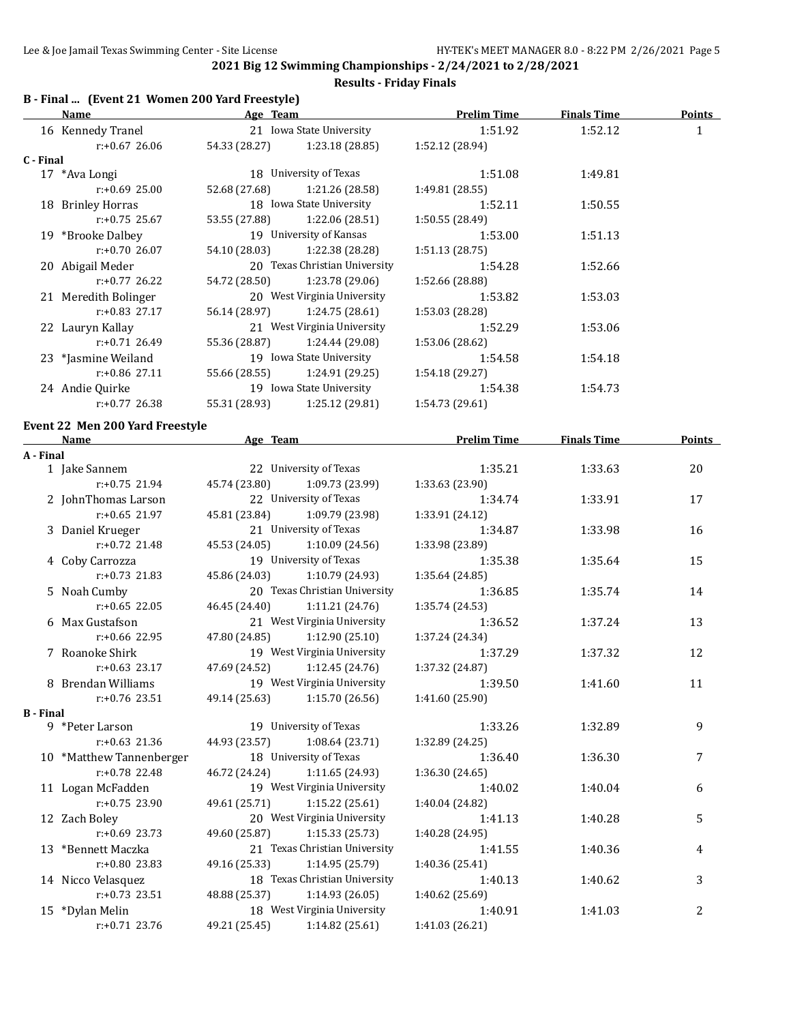## **Results - Friday Finals**

# **B - Final ... (Event 21 Women 200 Yard Freestyle)**

|                  | <b>Name</b>                             |                          | <b>Example 2018 Age Team</b>                   | <b>Prelim Time</b> | <b>Finals Time</b> | <b>Points</b> |
|------------------|-----------------------------------------|--------------------------|------------------------------------------------|--------------------|--------------------|---------------|
|                  | 16 Kennedy Tranel                       | 21 Iowa State University |                                                | 1:51.92            | 1:52.12            | $\mathbf{1}$  |
|                  | $r: +0.67$ 26.06                        |                          | 54.33 (28.27) 1:23.18 (28.85)                  | 1:52.12 (28.94)    |                    |               |
| C - Final        |                                         |                          |                                                |                    |                    |               |
|                  | 17 *Ava Longi                           |                          | 18 University of Texas                         | 1:51.08            | 1:49.81            |               |
|                  | $r: +0.69$ 25.00                        | 52.68 (27.68)            | 1:21.26 (28.58)                                | 1:49.81 (28.55)    |                    |               |
|                  | 18 Brinley Horras                       |                          | 18 Iowa State University                       | 1:52.11            | 1:50.55            |               |
|                  | $r: +0.75$ 25.67                        |                          | 53.55 (27.88) 1:22.06 (28.51)                  | 1:50.55 (28.49)    |                    |               |
|                  | 19 *Brooke Dalbey                       |                          | 19 University of Kansas                        | 1:53.00            | 1:51.13            |               |
|                  | $r: +0.70$ 26.07                        |                          | 54.10 (28.03) 1:22.38 (28.28)                  | 1:51.13(28.75)     |                    |               |
|                  | 20 Abigail Meder                        |                          | 20 Texas Christian University                  | 1:54.28            | 1:52.66            |               |
|                  | $r: +0.77$ 26.22                        |                          | 54.72 (28.50) 1:23.78 (29.06)                  | 1:52.66 (28.88)    |                    |               |
|                  | 21 Meredith Bolinger                    |                          | 20 West Virginia University                    | 1:53.82            | 1:53.03            |               |
|                  | $r: +0.83$ 27.17                        |                          | 56.14 (28.97) 1:24.75 (28.61)                  | 1:53.03 (28.28)    |                    |               |
|                  | 22 Lauryn Kallay                        |                          | 21 West Virginia University                    | 1:52.29            | 1:53.06            |               |
|                  | $r: +0.71$ 26.49                        |                          | 55.36 (28.87) 1:24.44 (29.08)                  | 1:53.06 (28.62)    |                    |               |
|                  |                                         |                          | 19 Iowa State University                       |                    |                    |               |
|                  | 23 *Jasmine Weiland<br>$r: +0.86$ 27.11 |                          |                                                | 1:54.58            | 1:54.18            |               |
|                  |                                         |                          | 55.66 (28.55) 1:24.91 (29.25)                  | 1:54.18(29.27)     |                    |               |
|                  | 24 Andie Quirke                         |                          | 19 Iowa State University                       | 1:54.38            | 1:54.73            |               |
|                  | $r: +0.77$ 26.38                        |                          | 55.31 (28.93) 1:25.12 (29.81)                  | 1:54.73 (29.61)    |                    |               |
|                  | Event 22 Men 200 Yard Freestyle         |                          |                                                |                    |                    |               |
|                  | Name Manne Age Team Prelim Time         |                          |                                                |                    | <b>Finals Time</b> | <b>Points</b> |
| A - Final        |                                         |                          |                                                |                    |                    |               |
|                  | 1 Jake Sannem                           |                          | 22 University of Texas                         | 1:35.21            | 1:33.63            | 20            |
|                  | $r: +0.75$ 21.94                        | 45.74 (23.80)            | 1:09.73 (23.99)                                | 1:33.63 (23.90)    |                    |               |
|                  | 2 JohnThomas Larson                     |                          | 22 University of Texas                         | 1:34.74            | 1:33.91            | 17            |
|                  | $r: +0.65$ 21.97                        | 45.81 (23.84)            | 1:09.79 (23.98)                                | 1:33.91 (24.12)    |                    |               |
|                  | 3 Daniel Krueger                        |                          | 21 University of Texas                         | 1:34.87            | 1:33.98            | 16            |
|                  | $r: +0.72$ 21.48                        |                          | 45.53 (24.05) 1:10.09 (24.56)                  | 1:33.98 (23.89)    |                    |               |
|                  | 4 Coby Carrozza                         |                          | 19 University of Texas                         | 1:35.38            | 1:35.64            | 15            |
|                  | $r: +0.73$ 21.83                        |                          | 45.86 (24.03) 1:10.79 (24.93)                  | 1:35.64 (24.85)    |                    |               |
|                  | 5 Noah Cumby                            |                          | 20 Texas Christian University                  | 1:36.85            | 1:35.74            | 14            |
|                  | $r: +0.65$ 22.05                        | 46.45 (24.40)            | 1:11.21(24.76)                                 | 1:35.74 (24.53)    |                    |               |
|                  | 6 Max Gustafson                         |                          | 21 West Virginia University                    | 1:36.52            | 1:37.24            | 13            |
|                  | r:+0.66 22.95                           | 47.80 (24.85)            | 1:12.90(25.10)                                 | 1:37.24 (24.34)    |                    |               |
|                  | 7 Roanoke Shirk                         |                          | 19 West Virginia University                    | 1:37.29            | 1:37.32            | 12            |
|                  | $r: +0.63$ 23.17                        |                          | 47.69 (24.52) 1:12.45 (24.76)                  | 1:37.32 (24.87)    |                    |               |
|                  |                                         |                          | 19 West Virginia University                    |                    |                    |               |
|                  | 8 Brendan Williams<br>$r: +0.76$ 23.51  | 49.14 (25.63)            |                                                | 1:39.50            | 1:41.60            | 11            |
| <b>B</b> - Final |                                         |                          | 1:15.70 (26.56)                                | 1:41.60 (25.90)    |                    |               |
|                  | 9 *Peter Larson                         |                          | 19 University of Texas                         | 1:33.26            | 1:32.89            | 9             |
|                  | r:+0.63 21.36                           | 44.93 (23.57)            | 1:08.64(23.71)                                 | 1:32.89 (24.25)    |                    |               |
|                  | 10 *Matthew Tannenberger                |                          | 18 University of Texas                         | 1:36.40            | 1:36.30            | 7             |
|                  | r:+0.78 22.48                           |                          |                                                |                    |                    |               |
|                  |                                         | 46.72 (24.24)            | 1:11.65 (24.93)<br>19 West Virginia University | 1:36.30 (24.65)    |                    |               |
|                  | 11 Logan McFadden                       |                          |                                                | 1:40.02            | 1:40.04            | 6             |
|                  | r:+0.75 23.90                           | 49.61 (25.71)            | 1:15.22 (25.61)                                | 1:40.04 (24.82)    |                    |               |
|                  | 12 Zach Boley                           |                          | 20 West Virginia University                    | 1:41.13            | 1:40.28            | 5             |
|                  | r:+0.69 23.73                           | 49.60 (25.87)            | 1:15.33 (25.73)                                | 1:40.28 (24.95)    |                    |               |
|                  | 13 *Bennett Maczka                      |                          | 21 Texas Christian University                  | 1:41.55            | 1:40.36            | 4             |
|                  | r:+0.80 23.83                           | 49.16 (25.33)            | 1:14.95 (25.79)                                | 1:40.36 (25.41)    |                    |               |
|                  | 14 Nicco Velasquez                      |                          | 18 Texas Christian University                  | 1:40.13            | 1:40.62            | 3             |
|                  | r:+0.73 23.51                           | 48.88 (25.37)            | 1:14.93 (26.05)                                | 1:40.62 (25.69)    |                    |               |
|                  | 15 *Dylan Melin                         |                          | 18 West Virginia University                    | 1:40.91            | 1:41.03            | 2             |
|                  | r:+0.71 23.76                           | 49.21 (25.45)            | 1:14.82 (25.61)                                | 1:41.03 (26.21)    |                    |               |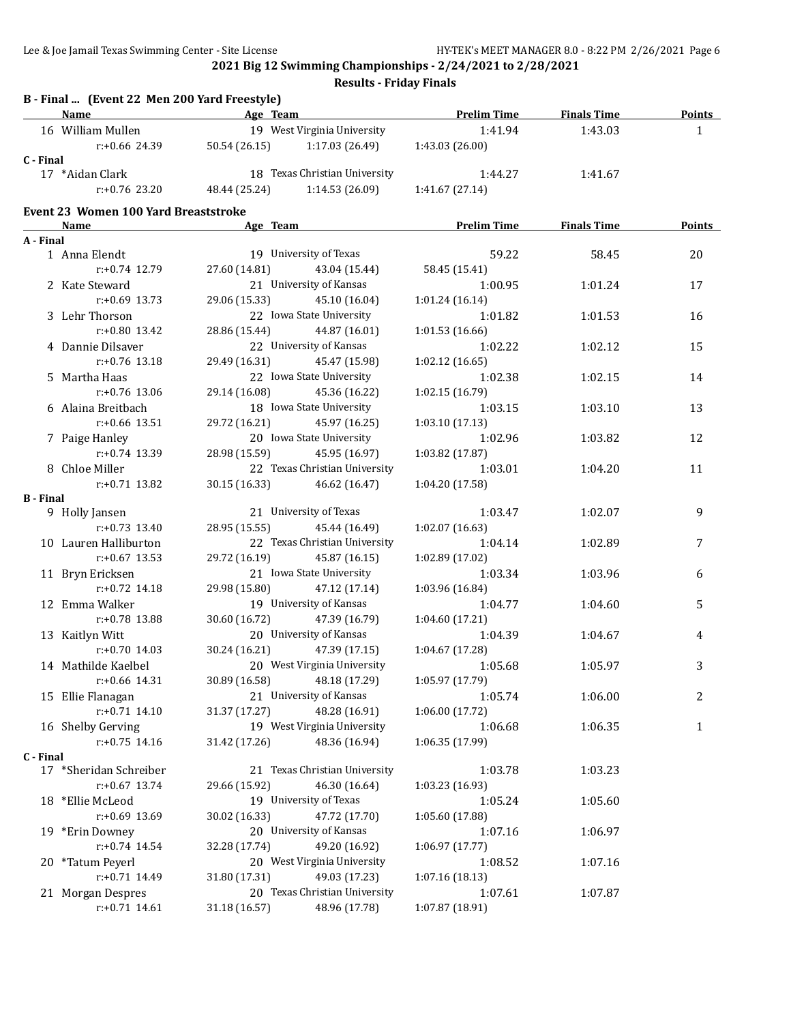**Results - Friday Finals**

|                  | B - Final  (Event 22 Men 200 Yard Freestyle)<br>Name |               | Age Team and the state of the state of the state of the state of the state of the state of the state of the state of the state of the state of the state of the state of the state of the state of the state of the state of t | <b>Prelim Time</b> | <b>Finals Time</b> | <b>Points</b> |
|------------------|------------------------------------------------------|---------------|--------------------------------------------------------------------------------------------------------------------------------------------------------------------------------------------------------------------------------|--------------------|--------------------|---------------|
|                  | 16 William Mullen                                    |               | 19 West Virginia University                                                                                                                                                                                                    | 1:41.94            | 1:43.03            | $\mathbf{1}$  |
|                  | $r$ :+0.66 24.39                                     | 50.54 (26.15) | 1:17.03 (26.49)                                                                                                                                                                                                                | 1:43.03 (26.00)    |                    |               |
| C - Final        |                                                      |               |                                                                                                                                                                                                                                |                    |                    |               |
|                  | 17 *Aidan Clark                                      |               | 18 Texas Christian University                                                                                                                                                                                                  | 1:44.27            | 1:41.67            |               |
|                  | $r: +0.76$ 23.20                                     | 48.44 (25.24) | 1:14.53(26.09)                                                                                                                                                                                                                 | 1:41.67 (27.14)    |                    |               |
|                  | <b>Event 23 Women 100 Yard Breaststroke</b>          |               |                                                                                                                                                                                                                                |                    |                    |               |
|                  | Name                                                 | Age Team      |                                                                                                                                                                                                                                | <b>Prelim Time</b> | <b>Finals Time</b> | Points        |
| A - Final        |                                                      |               |                                                                                                                                                                                                                                |                    |                    |               |
|                  | 1 Anna Elendt                                        |               | 19 University of Texas                                                                                                                                                                                                         | 59.22              | 58.45              | 20            |
|                  | $r: +0.74$ 12.79                                     | 27.60 (14.81) | 43.04 (15.44)                                                                                                                                                                                                                  | 58.45 (15.41)      |                    |               |
|                  | 2 Kate Steward                                       |               | 21 University of Kansas                                                                                                                                                                                                        | 1:00.95            | 1:01.24            | 17            |
|                  | $r: +0.69$ 13.73                                     | 29.06 (15.33) | 45.10 (16.04)                                                                                                                                                                                                                  | 1:01.24(16.14)     |                    |               |
|                  | 3 Lehr Thorson                                       |               | 22 Iowa State University                                                                                                                                                                                                       | 1:01.82            | 1:01.53            | 16            |
|                  | $r: +0.80$ 13.42                                     | 28.86 (15.44) | 44.87 (16.01)                                                                                                                                                                                                                  | 1:01.53 (16.66)    |                    |               |
|                  | 4 Dannie Dilsaver                                    |               | 22 University of Kansas                                                                                                                                                                                                        | 1:02.22            | 1:02.12            | 15            |
|                  | $r: +0.76$ 13.18                                     | 29.49 (16.31) | 45.47 (15.98)                                                                                                                                                                                                                  | 1:02.12(16.65)     |                    |               |
|                  | 5 Martha Haas                                        |               | 22 Iowa State University                                                                                                                                                                                                       | 1:02.38            | 1:02.15            | 14            |
|                  | $r: +0.76$ 13.06                                     | 29.14 (16.08) | 45.36 (16.22)                                                                                                                                                                                                                  | 1:02.15 (16.79)    |                    |               |
|                  | 6 Alaina Breitbach                                   |               | 18 Iowa State University                                                                                                                                                                                                       | 1:03.15            | 1:03.10            | 13            |
|                  | $r: +0.66$ 13.51                                     | 29.72 (16.21) | 45.97 (16.25)                                                                                                                                                                                                                  | 1:03.10 (17.13)    |                    |               |
|                  | 7 Paige Hanley                                       |               | 20 Iowa State University                                                                                                                                                                                                       | 1:02.96            | 1:03.82            | 12            |
|                  | $r: +0.74$ 13.39                                     | 28.98 (15.59) | 45.95 (16.97)                                                                                                                                                                                                                  | 1:03.82 (17.87)    |                    |               |
|                  | 8 Chloe Miller                                       |               | 22 Texas Christian University                                                                                                                                                                                                  | 1:03.01            | 1:04.20            | 11            |
|                  | $r: +0.71$ 13.82                                     | 30.15 (16.33) | 46.62 (16.47)                                                                                                                                                                                                                  | 1:04.20 (17.58)    |                    |               |
| <b>B</b> - Final |                                                      |               |                                                                                                                                                                                                                                |                    |                    |               |
|                  | 9 Holly Jansen                                       |               | 21 University of Texas                                                                                                                                                                                                         | 1:03.47            | 1:02.07            | 9             |
|                  | $r: +0.73$ 13.40                                     | 28.95 (15.55) | 45.44 (16.49)                                                                                                                                                                                                                  | 1:02.07 (16.63)    |                    |               |
|                  | 10 Lauren Halliburton                                |               | 22 Texas Christian University                                                                                                                                                                                                  | 1:04.14            | 1:02.89            | 7             |
|                  | $r: +0.67$ 13.53                                     | 29.72 (16.19) | 45.87 (16.15)                                                                                                                                                                                                                  | 1:02.89 (17.02)    |                    |               |
|                  | 11 Bryn Ericksen                                     |               | 21 Iowa State University                                                                                                                                                                                                       | 1:03.34            | 1:03.96            | 6             |
|                  | $r: +0.72$ 14.18                                     | 29.98 (15.80) | 47.12 (17.14)<br>19 University of Kansas                                                                                                                                                                                       | 1:03.96 (16.84)    |                    |               |
|                  | 12 Emma Walker                                       |               |                                                                                                                                                                                                                                | 1:04.77            | 1:04.60            | 5             |
|                  | r:+0.78 13.88                                        | 30.60 (16.72) | 47.39 (16.79)                                                                                                                                                                                                                  | 1:04.60 (17.21)    |                    |               |
|                  | 13 Kaitlyn Witt                                      |               | 20 University of Kansas                                                                                                                                                                                                        | 1:04.39            | 1:04.67            | 4             |
|                  | $r: +0.70$ 14.03                                     | 30.24 (16.21) | 47.39 (17.15)                                                                                                                                                                                                                  | 1:04.67 (17.28)    |                    |               |
|                  | 14 Mathilde Kaelbel                                  |               | 20 West Virginia University                                                                                                                                                                                                    | 1:05.68            | 1:05.97            | 3             |
|                  | r:+0.66 14.31                                        | 30.89 (16.58) | 48.18 (17.29)                                                                                                                                                                                                                  | 1:05.97 (17.79)    |                    |               |
|                  | 15 Ellie Flanagan                                    |               | 21 University of Kansas                                                                                                                                                                                                        | 1:05.74            | 1:06.00            | 2             |
|                  | $r: +0.71$ 14.10                                     | 31.37 (17.27) | 48.28 (16.91)                                                                                                                                                                                                                  | 1:06.00 (17.72)    |                    |               |
|                  | 16 Shelby Gerving                                    |               | 19 West Virginia University                                                                                                                                                                                                    | 1:06.68            | 1:06.35            | 1             |
|                  | $r: +0.75$ 14.16                                     | 31.42 (17.26) | 48.36 (16.94)                                                                                                                                                                                                                  | 1:06.35 (17.99)    |                    |               |
| C - Final        | 17 *Sheridan Schreiber                               |               | 21 Texas Christian University                                                                                                                                                                                                  | 1:03.78            | 1:03.23            |               |
|                  | $r: +0.67$ 13.74                                     | 29.66 (15.92) | 46.30 (16.64)                                                                                                                                                                                                                  | 1:03.23 (16.93)    |                    |               |
|                  | 18 *Ellie McLeod                                     |               | 19 University of Texas                                                                                                                                                                                                         | 1:05.24            | 1:05.60            |               |
|                  | r:+0.69 13.69                                        | 30.02 (16.33) | 47.72 (17.70)                                                                                                                                                                                                                  | 1:05.60 (17.88)    |                    |               |
|                  | 19 *Erin Downey                                      |               | 20 University of Kansas                                                                                                                                                                                                        | 1:07.16            | 1:06.97            |               |
|                  | $r: +0.74$ 14.54                                     | 32.28 (17.74) | 49.20 (16.92)                                                                                                                                                                                                                  | 1:06.97 (17.77)    |                    |               |
|                  | 20 *Tatum Peyerl                                     |               | 20 West Virginia University                                                                                                                                                                                                    | 1:08.52            | 1:07.16            |               |
|                  | r:+0.71 14.49                                        | 31.80 (17.31) | 49.03 (17.23)                                                                                                                                                                                                                  | 1:07.16 (18.13)    |                    |               |
|                  | 21 Morgan Despres                                    |               | 20 Texas Christian University                                                                                                                                                                                                  | 1:07.61            | 1:07.87            |               |
|                  | $r: +0.71$ 14.61                                     | 31.18 (16.57) | 48.96 (17.78)                                                                                                                                                                                                                  | 1:07.87 (18.91)    |                    |               |
|                  |                                                      |               |                                                                                                                                                                                                                                |                    |                    |               |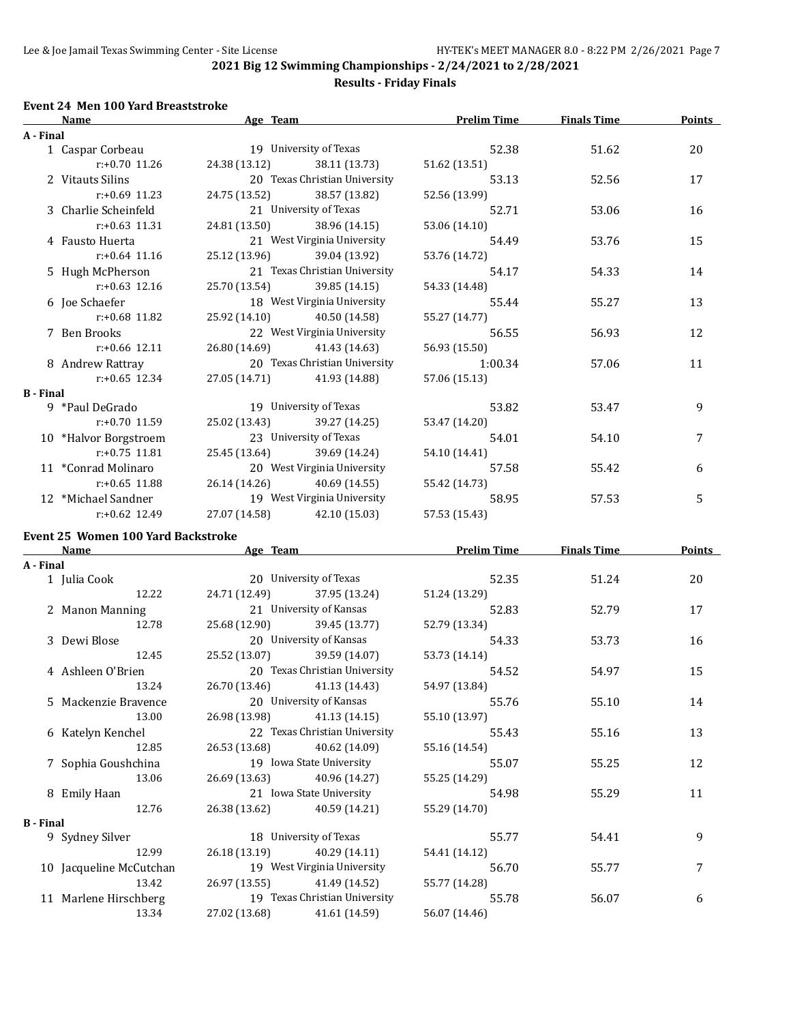### **Results - Friday Finals**

### **Event 24 Men 100 Yard Breaststroke**

|                  | Name                                      | Age Team      |                               | <b>Prelim Time</b> | <b>Finals Time</b> | <b>Points</b> |
|------------------|-------------------------------------------|---------------|-------------------------------|--------------------|--------------------|---------------|
| A - Final        |                                           |               |                               |                    |                    |               |
|                  | 1 Caspar Corbeau                          |               | 19 University of Texas        | 52.38              | 51.62              | 20            |
|                  | $r: +0.70$ 11.26                          | 24.38 (13.12) | 38.11 (13.73)                 | 51.62 (13.51)      |                    |               |
|                  | 2 Vitauts Silins                          |               | 20 Texas Christian University | 53.13              | 52.56              | 17            |
|                  | $r: +0.69$ 11.23                          | 24.75 (13.52) | 38.57 (13.82)                 | 52.56 (13.99)      |                    |               |
|                  | 3 Charlie Scheinfeld                      |               | 21 University of Texas        | 52.71              | 53.06              | 16            |
|                  | r:+0.63 11.31                             | 24.81 (13.50) | 38.96 (14.15)                 | 53.06 (14.10)      |                    |               |
|                  | 4 Fausto Huerta                           |               | 21 West Virginia University   | 54.49              | 53.76              | 15            |
|                  | $r: +0.64$ 11.16                          | 25.12 (13.96) | 39.04 (13.92)                 | 53.76 (14.72)      |                    |               |
|                  | 5 Hugh McPherson                          |               | 21 Texas Christian University | 54.17              | 54.33              | 14            |
|                  | $r: +0.63$ 12.16                          | 25.70 (13.54) | 39.85 (14.15)                 | 54.33 (14.48)      |                    |               |
|                  | 6 Joe Schaefer                            |               | 18 West Virginia University   | 55.44              | 55.27              | 13            |
|                  | r:+0.68 11.82                             | 25.92 (14.10) | 40.50 (14.58)                 | 55.27 (14.77)      |                    |               |
|                  | 7 Ben Brooks                              |               | 22 West Virginia University   | 56.55              | 56.93              | 12            |
|                  | r:+0.66 12.11                             | 26.80 (14.69) | 41.43 (14.63)                 | 56.93 (15.50)      |                    |               |
|                  | 8 Andrew Rattray                          |               | 20 Texas Christian University | 1:00.34            | 57.06              | 11            |
|                  | $r: +0.65$ 12.34                          | 27.05 (14.71) | 41.93 (14.88)                 | 57.06 (15.13)      |                    |               |
| <b>B</b> - Final |                                           |               |                               |                    |                    |               |
|                  | 9 *Paul DeGrado                           |               | 19 University of Texas        | 53.82              | 53.47              | 9             |
|                  | $r: +0.70$ 11.59                          | 25.02 (13.43) | 39.27 (14.25)                 | 53.47 (14.20)      |                    |               |
|                  | 10 *Halvor Borgstroem                     |               | 23 University of Texas        | 54.01              | 54.10              | 7             |
|                  | $r: +0.75$ 11.81                          | 25.45 (13.64) | 39.69 (14.24)                 | 54.10 (14.41)      |                    |               |
|                  | 11 *Conrad Molinaro                       |               | 20 West Virginia University   | 57.58              | 55.42              | 6             |
|                  | $r: +0.65$ 11.88                          | 26.14 (14.26) | 40.69 (14.55)                 | 55.42 (14.73)      |                    |               |
|                  | 12 *Michael Sandner                       |               | 19 West Virginia University   | 58.95              | 57.53              | 5             |
|                  | r:+0.62 12.49                             | 27.07 (14.58) | 42.10 (15.03)                 | 57.53 (15.43)      |                    |               |
|                  | <b>Event 25 Women 100 Yard Backstroke</b> |               |                               |                    |                    |               |
|                  | Name                                      |               | Age Team                      | <b>Prelim Time</b> | <b>Finals Time</b> | <b>Points</b> |
| A - Final        |                                           |               |                               |                    |                    |               |
|                  | 1 Julia Cook                              |               | 20 University of Texas        | 52.35              | 51.24              | 20            |
|                  | 12.22                                     | 24.71 (12.49) | 37.95 (13.24)                 | 51.24 (13.29)      |                    |               |
|                  | 2 Manon Manning                           |               | 21 University of Kansas       | 52.83              | 52.79              | 17            |
|                  | 12.78                                     | 25.68 (12.90) | 39.45 (13.77)                 | 52.79 (13.34)      |                    |               |
|                  | 3 Dewi Blose                              |               | 20 University of Kansas       | 54.33              | 53.73              | 16            |
|                  | 12.45                                     | 25.52 (13.07) | 39.59 (14.07)                 | 53.73 (14.14)      |                    |               |
|                  | 4 Ashleen O'Brien                         |               | 20 Texas Christian University | 54.52              | 54.97              | 15            |
|                  | 13.24                                     |               | 26.70 (13.46) 41.13 (14.43)   | 54.97 (13.84)      |                    |               |
|                  | 5 Mackenzie Bravence                      |               | 20 University of Kansas       | 55.76              | 55.10              | 14            |
|                  | 13.00                                     | 26.98 (13.98) | 41.13 (14.15)                 | 55.10 (13.97)      |                    |               |
|                  | 6 Katelyn Kenchel                         |               | 22 Texas Christian University | 55.43              | 55.16              | 13            |
|                  | 12.85                                     | 26.53 (13.68) | 40.62 (14.09)                 | 55.16 (14.54)      |                    |               |
|                  | 7 Sophia Goushchina                       |               | 19 Iowa State University      | 55.07              | 55.25              | 12            |
|                  | 13.06                                     | 26.69 (13.63) | 40.96 (14.27)                 | 55.25 (14.29)      |                    |               |
|                  | 8 Emily Haan                              |               | 21 Iowa State University      | 54.98              | 55.29              | 11            |
|                  | 12.76                                     | 26.38 (13.62) | 40.59 (14.21)                 | 55.29 (14.70)      |                    |               |
| <b>B</b> - Final |                                           |               |                               |                    |                    |               |
|                  | 9 Sydney Silver                           |               | 18 University of Texas        | 55.77              | 54.41              | 9             |
|                  | 12.99                                     | 26.18 (13.19) | 40.29 (14.11)                 | 54.41 (14.12)      |                    |               |
|                  |                                           |               |                               |                    |                    |               |

10 Jacqueline McCutchan 19 West Virginia University 56.70 55.77 55.77 7 13.42 26.97 (13.55) 41.49 (14.52) 55.77 (14.28) 11 Marlene Hirschberg 19 Texas Christian University 55.78 56.07 6 13.34 27.02 (13.68) 41.61 (14.59) 56.07 (14.46)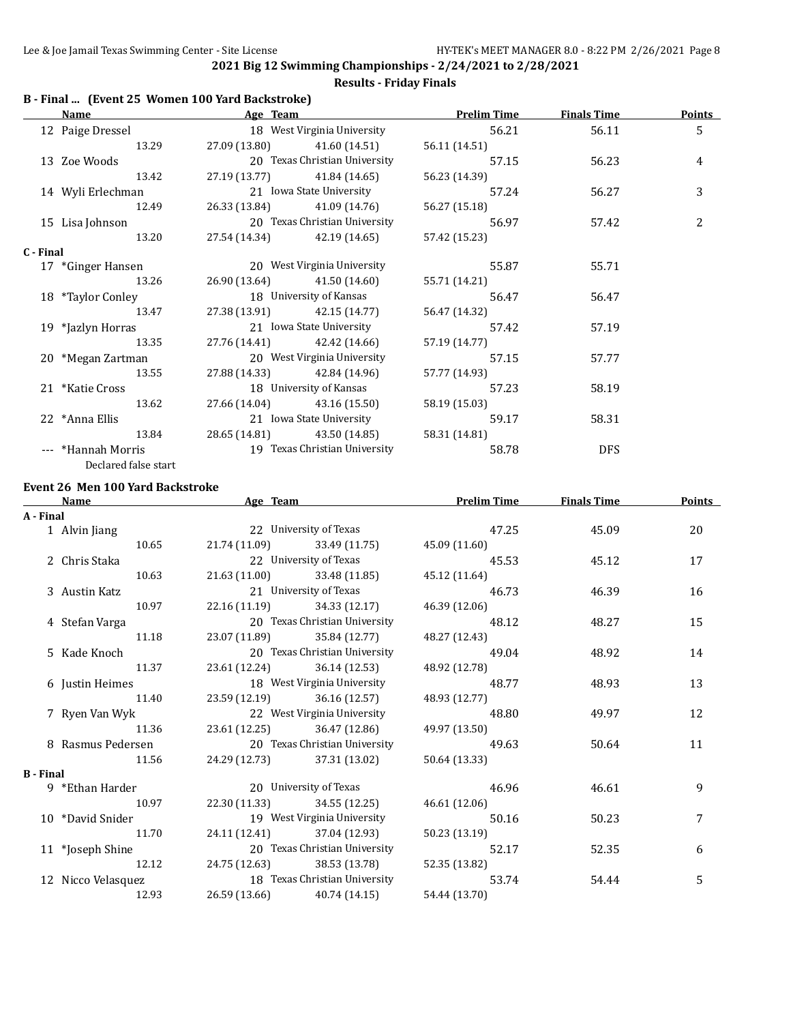### **B - Final ... (Event 25 Women 100 Yard Backstroke) Name Age Team Prelim Time Finals Time Points** 12 Paige Dressel 18 West Virginia University 56.21 56.11 56.11 13.29 27.09 (13.80) 41.60 (14.51) 56.11 (14.51) 13 Zoe Woods 20 Texas Christian University 57.15 56.23 4 13.42 27.19 (13.77) 41.84 (14.65) 56.23 (14.39) 14 Wyli Erlechman 21 Iowa State University 57.24 56.27 3 12.49 26.33 (13.84) 41.09 (14.76) 56.27 (15.18) 15 Lisa Johnson 20 Texas Christian University 56.97 57.42 2 13.20 27.54 (14.34) 42.19 (14.65) 57.42 (15.23) **C - Final** 17 \*Ginger Hansen 20 West Virginia University 55.87 55.71 13.26 26.90 (13.64) 41.50 (14.60) 55.71 (14.21) 18 \*Taylor Conley 18 University of Kansas 56.47 56.47 56.47 13.47 27.38 (13.91) 42.15 (14.77) 56.47 (14.32) 19 \*Jazlyn Horras 21 Iowa State University 57.42 57.19 13.35 27.76 (14.41) 42.42 (14.66) 57.19 (14.77) 20 \*Megan Zartman 20 West Virginia University 57.15 57.77 13.55 27.88 (14.33) 42.84 (14.96) 57.77 (14.93) 21 \*Katie Cross 18 University of Kansas 57.23 58.19 13.62 27.66 (14.04) 43.16 (15.50) 58.19 (15.03) 22 \*Anna Ellis 21 Iowa State University 59.17 58.31 13.84 28.65 (14.81) 43.50 (14.85) 58.31 (14.81) --- \*Hannah Morris 19 Texas Christian University 58.78 DFS Declared false start

#### **Results - Friday Finals**

#### **Event 26 Men 100 Yard Backstroke**

|                  | Name               | Age Team |                               | <b>Prelim Time</b> | <b>Finals Time</b> | <b>Points</b> |
|------------------|--------------------|----------|-------------------------------|--------------------|--------------------|---------------|
| A - Final        |                    |          |                               |                    |                    |               |
|                  | 1 Alvin Jiang      |          | 22 University of Texas        | 47.25              | 45.09              | 20            |
|                  | 10.65              |          | 21.74 (11.09) 33.49 (11.75)   | 45.09 (11.60)      |                    |               |
|                  | 2 Chris Staka      |          | 22 University of Texas        | 45.53              | 45.12              | 17            |
|                  | 10.63              |          | 21.63 (11.00) 33.48 (11.85)   | 45.12 (11.64)      |                    |               |
|                  | 3 Austin Katz      |          | 21 University of Texas        | 46.73              | 46.39              | 16            |
|                  | 10.97              |          | 22.16 (11.19) 34.33 (12.17)   | 46.39 (12.06)      |                    |               |
|                  | 4 Stefan Varga     |          | 20 Texas Christian University | 48.12              | 48.27              | 15            |
|                  | 11.18              |          | 23.07 (11.89) 35.84 (12.77)   | 48.27 (12.43)      |                    |               |
|                  | 5 Kade Knoch       |          | 20 Texas Christian University | 49.04              | 48.92              | 14            |
|                  | 11.37              |          | 23.61 (12.24) 36.14 (12.53)   | 48.92 (12.78)      |                    |               |
|                  | 6 Justin Heimes    |          | 18 West Virginia University   | 48.77              | 48.93              | 13            |
|                  | 11.40              |          | 23.59 (12.19) 36.16 (12.57)   | 48.93 (12.77)      |                    |               |
|                  | 7 Ryen Van Wyk     |          | 22 West Virginia University   | 48.80              | 49.97              | 12            |
|                  | 11.36              |          | 23.61 (12.25) 36.47 (12.86)   | 49.97 (13.50)      |                    |               |
|                  | 8 Rasmus Pedersen  |          | 20 Texas Christian University | 49.63              | 50.64              | 11            |
|                  | 11.56              |          | 24.29 (12.73) 37.31 (13.02)   | 50.64 (13.33)      |                    |               |
| <b>B</b> - Final |                    |          |                               |                    |                    |               |
|                  | 9 *Ethan Harder    |          | 20 University of Texas        | 46.96              | 46.61              | 9             |
|                  | 10.97              |          | 22.30 (11.33) 34.55 (12.25)   | 46.61 (12.06)      |                    |               |
|                  | 10 *David Snider   |          | 19 West Virginia University   | 50.16              | 50.23              | 7             |
|                  | 11.70              |          | 24.11 (12.41) 37.04 (12.93)   | 50.23 (13.19)      |                    |               |
|                  | 11 *Joseph Shine   |          | 20 Texas Christian University | 52.17              | 52.35              | 6             |
|                  | 12.12              |          | 24.75 (12.63) 38.53 (13.78)   | 52.35 (13.82)      |                    |               |
|                  | 12 Nicco Velasquez |          | 18 Texas Christian University | 53.74              | 54.44              | 5             |
|                  | 12.93              |          | 26.59 (13.66) 40.74 (14.15)   | 54.44 (13.70)      |                    |               |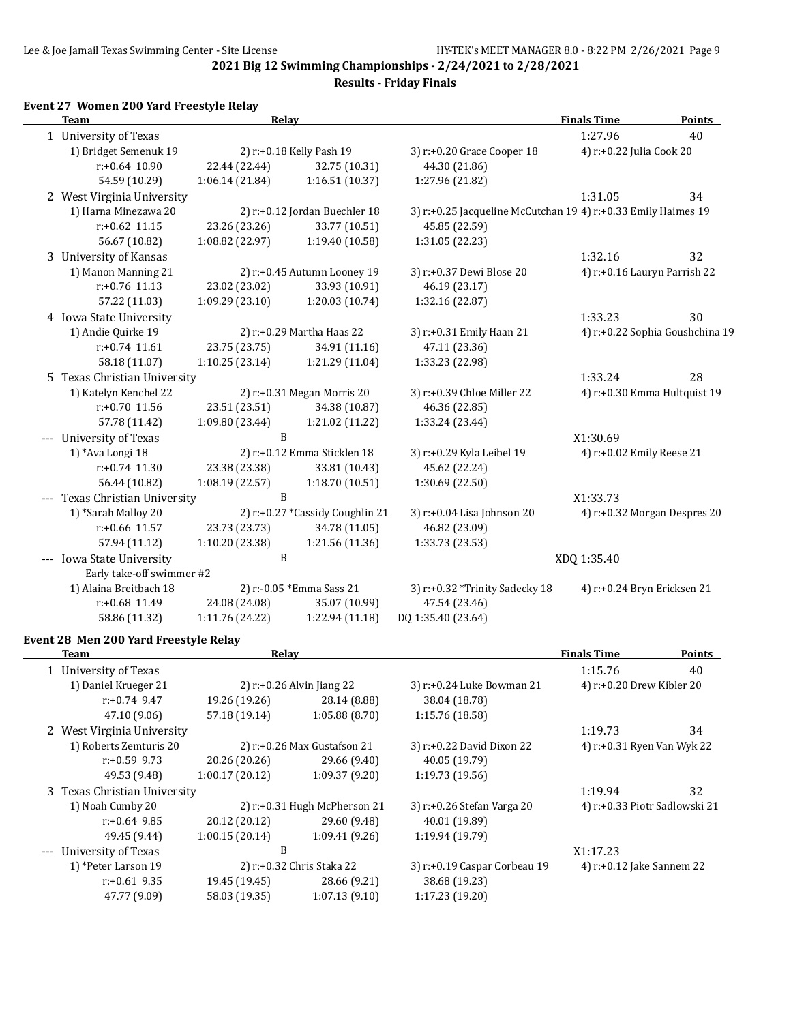**Results - Friday Finals**

## **Event 27 Women 200 Yard Freestyle Relay**

|       | <b>Team</b>                  | <b>Relay</b>    |                                 |                                                               | <b>Finals Time</b>           | <b>Points</b>                   |
|-------|------------------------------|-----------------|---------------------------------|---------------------------------------------------------------|------------------------------|---------------------------------|
|       | 1 University of Texas        |                 |                                 |                                                               | 1:27.96                      | 40                              |
|       | 1) Bridget Semenuk 19        |                 | 2) r:+0.18 Kelly Pash 19        | 3) r:+0.20 Grace Cooper 18                                    | 4) r:+0.22 Julia Cook 20     |                                 |
|       | $r: +0.64$ 10.90             | 22.44 (22.44)   | 32.75 (10.31)                   | 44.30 (21.86)                                                 |                              |                                 |
|       | 54.59 (10.29)                | 1:06.14(21.84)  | 1:16.51 (10.37)                 | 1:27.96 (21.82)                                               |                              |                                 |
|       | 2 West Virginia University   |                 |                                 |                                                               | 1:31.05                      | 34                              |
|       | 1) Harna Minezawa 20         |                 | 2) r:+0.12 Jordan Buechler 18   | 3) r:+0.25 Jacqueline McCutchan 19 4) r:+0.33 Emily Haimes 19 |                              |                                 |
|       | $r: +0.62$ 11.15             | 23.26 (23.26)   | 33.77 (10.51)                   | 45.85 (22.59)                                                 |                              |                                 |
|       | 56.67 (10.82)                | 1:08.82 (22.97) | 1:19.40 (10.58)                 | 1:31.05 (22.23)                                               |                              |                                 |
|       | 3 University of Kansas       |                 |                                 |                                                               | 1:32.16                      | 32                              |
|       | 1) Manon Manning 21          |                 | 2) r:+0.45 Autumn Looney 19     | 3) r:+0.37 Dewi Blose 20                                      | 4) r:+0.16 Lauryn Parrish 22 |                                 |
|       | $r: +0.76$ 11.13             | 23.02 (23.02)   | 33.93 (10.91)                   | 46.19 (23.17)                                                 |                              |                                 |
|       | 57.22 (11.03)                | 1:09.29(23.10)  | 1:20.03 (10.74)                 | 1:32.16 (22.87)                                               |                              |                                 |
|       | 4 Iowa State University      |                 |                                 |                                                               | 1:33.23                      | 30                              |
|       | 1) Andie Quirke 19           |                 | 2) r:+0.29 Martha Haas 22       | 3) r:+0.31 Emily Haan 21                                      |                              | 4) r:+0.22 Sophia Goushchina 19 |
|       | $r: +0.74$ 11.61             | 23.75 (23.75)   | 34.91 (11.16)                   | 47.11 (23.36)                                                 |                              |                                 |
|       | 58.18 (11.07)                | 1:10.25(23.14)  | 1:21.29 (11.04)                 | 1:33.23 (22.98)                                               |                              |                                 |
|       | 5 Texas Christian University |                 |                                 |                                                               | 1:33.24                      | 28                              |
|       | 1) Katelyn Kenchel 22        |                 | 2) r:+0.31 Megan Morris 20      | 3) r:+0.39 Chloe Miller 22                                    |                              | 4) r:+0.30 Emma Hultquist 19    |
|       | r:+0.70 11.56                | 23.51 (23.51)   | 34.38 (10.87)                   | 46.36 (22.85)                                                 |                              |                                 |
|       | 57.78 (11.42)                | 1:09.80 (23.44) | 1:21.02 (11.22)                 | 1:33.24 (23.44)                                               |                              |                                 |
|       | --- University of Texas      | B               |                                 |                                                               | X1:30.69                     |                                 |
|       | 1) *Ava Longi 18             |                 | 2) r:+0.12 Emma Sticklen 18     | 3) r:+0.29 Kyla Leibel 19                                     | 4) r:+0.02 Emily Reese 21    |                                 |
|       | $r: +0.74$ 11.30             | 23.38 (23.38)   | 33.81 (10.43)                   | 45.62 (22.24)                                                 |                              |                                 |
|       | 56.44 (10.82)                | 1:08.19 (22.57) | 1:18.70(10.51)                  | 1:30.69 (22.50)                                               |                              |                                 |
|       | Texas Christian University   | B               |                                 |                                                               | X1:33.73                     |                                 |
|       | 1) *Sarah Malloy 20          |                 | 2) r:+0.27 *Cassidy Coughlin 21 | 3) r:+0.04 Lisa Johnson 20                                    |                              | 4) r:+0.32 Morgan Despres 20    |
|       | $r: +0.66$ 11.57             | 23.73 (23.73)   | 34.78 (11.05)                   | 46.82 (23.09)                                                 |                              |                                 |
|       | 57.94 (11.12)                | 1:10.20(23.38)  | 1:21.56 (11.36)                 | 1:33.73 (23.53)                                               |                              |                                 |
| $---$ | Iowa State University        | B               |                                 |                                                               | XDQ 1:35.40                  |                                 |
|       | Early take-off swimmer #2    |                 |                                 |                                                               |                              |                                 |
|       | 1) Alaina Breitbach 18       |                 | 2) r:-0.05 *Emma Sass 21        | 3) r:+0.32 *Trinity Sadecky 18                                | 4) r:+0.24 Bryn Ericksen 21  |                                 |
|       | r:+0.68 11.49                | 24.08 (24.08)   | 35.07 (10.99)                   | 47.54 (23.46)                                                 |                              |                                 |
|       | 58.86 (11.32)                | 1:11.76 (24.22) | 1:22.94 (11.18)                 | DQ 1:35.40 (23.64)                                            |                              |                                 |
|       |                              |                 |                                 |                                                               |                              |                                 |

# **Event 28 Men 200 Yard Freestyle Relay**

| Team                         | Relay          |                                 |                              | <b>Finals Time</b>         | <b>Points</b>                 |
|------------------------------|----------------|---------------------------------|------------------------------|----------------------------|-------------------------------|
| 1 University of Texas        |                |                                 |                              | 1:15.76                    | 40                            |
| 1) Daniel Krueger 21         |                | 2) $r+0.26$ Alvin Jiang 22      | 3) r:+0.24 Luke Bowman 21    | 4) r:+0.20 Drew Kibler 20  |                               |
| $r: +0.74$ 9.47              | 19.26 (19.26)  | 28.14 (8.88)                    | 38.04 (18.78)                |                            |                               |
| 47.10 (9.06)                 | 57.18 (19.14)  | 1:05.88(8.70)                   | 1:15.76 (18.58)              |                            |                               |
| 2 West Virginia University   |                |                                 |                              | 1:19.73                    | 34                            |
| 1) Roberts Zemturis 20       |                | 2) $r: +0.26$ Max Gustafson 21  | 3) r:+0.22 David Dixon 22    | 4) r:+0.31 Ryen Van Wyk 22 |                               |
| $r: +0.59$ 9.73              | 20.26 (20.26)  | 29.66 (9.40)                    | 40.05 (19.79)                |                            |                               |
| 49.53 (9.48)                 | 1:00.17(20.12) | 1:09.37(9.20)                   | 1:19.73(19.56)               |                            |                               |
| 3 Texas Christian University |                |                                 |                              | 1:19.94                    | 32                            |
| 1) Noah Cumby 20             |                | 2) $r: +0.31$ Hugh McPherson 21 | 3) r:+0.26 Stefan Varga 20   |                            | 4) r:+0.33 Piotr Sadlowski 21 |
| $r: +0.64$ 9.85              | 20.12 (20.12)  | 29.60 (9.48)                    | 40.01 (19.89)                |                            |                               |
| 49.45 (9.44)                 | 1:00.15(20.14) | 1:09.41(9.26)                   | 1:19.94 (19.79)              |                            |                               |
| --- University of Texas      | B              |                                 |                              | X1:17.23                   |                               |
| 1) *Peter Larson 19          |                | 2) r:+0.32 Chris Staka 22       | 3) r:+0.19 Caspar Corbeau 19 | 4) r:+0.12 Jake Sannem 22  |                               |
| $r: +0.61$ 9.35              | 19.45 (19.45)  | 28.66 (9.21)                    | 38.68 (19.23)                |                            |                               |
| 47.77 (9.09)                 | 58.03 (19.35)  | 1:07.13(9.10)                   | 1:17.23 (19.20)              |                            |                               |
|                              |                |                                 |                              |                            |                               |